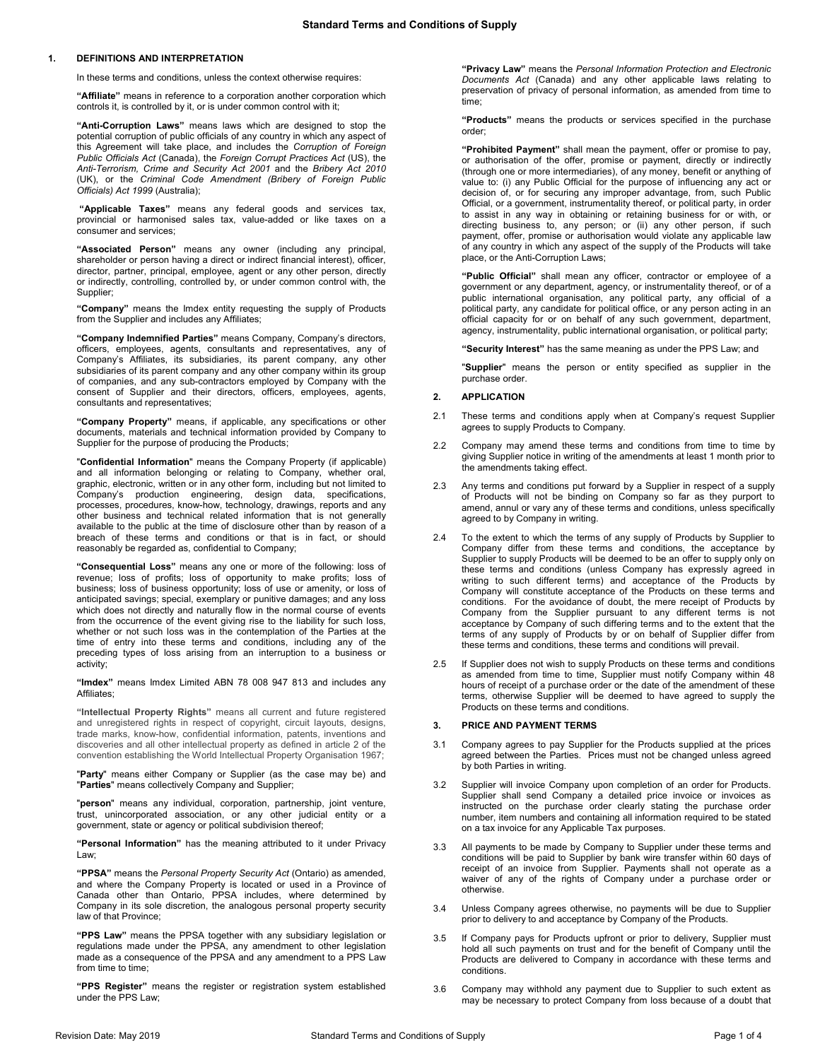# **1. DEFINITIONS AND INTERPRETATION**

In these terms and conditions, unless the context otherwise requires:

**"Affiliate"** means in reference to a corporation another corporation which controls it, is controlled by it, or is under common control with it;

**"Anti-Corruption Laws"** means laws which are designed to stop the potential corruption of public officials of any country in which any aspect of this Agreement will take place, and includes the *Corruption of Foreign Public Officials Act* (Canada), the *Foreign Corrupt Practices Act* (US), the *Anti-Terrorism, Crime and Security Act 2001* and the *Bribery Act 2010*  (UK), or the *Criminal Code Amendment (Bribery of Foreign Public Officials) Act 1999* (Australia);

**"Applicable Taxes"** means any federal goods and services tax, provincial or harmonised sales tax, value-added or like taxes on a consumer and services;

**"Associated Person"** means any owner (including any principal, shareholder or person having a direct or indirect financial interest), officer, director, partner, principal, employee, agent or any other person, directly or indirectly, controlling, controlled by, or under common control with, the Supplier;

**"Company"** means the Imdex entity requesting the supply of Products from the Supplier and includes any Affiliates;

**"Company Indemnified Parties"** means Company, Company's directors, officers, employees, agents, consultants and representatives, any of Company's Affiliates, its subsidiaries, its parent company, any other subsidiaries of its parent company and any other company within its group of companies, and any sub-contractors employed by Company with the consent of Supplier and their directors, officers, employees, agents, consultants and representatives;

**"Company Property"** means, if applicable, any specifications or other documents, materials and technical information provided by Company to Supplier for the purpose of producing the Products;

"**Confidential Information**" means the Company Property (if applicable) and all information belonging or relating to Company, whether oral, graphic, electronic, written or in any other form, including but not limited to Company's production engineering, design data, specifications, processes, procedures, know-how, technology, drawings, reports and any other business and technical related information that is not generally available to the public at the time of disclosure other than by reason of a breach of these terms and conditions or that is in fact, or should reasonably be regarded as, confidential to Company;

**"Consequential Loss"** means any one or more of the following: loss of revenue; loss of profits; loss of opportunity to make profits; loss of business; loss of business opportunity; loss of use or amenity, or loss of anticipated savings; special, exemplary or punitive damages; and any loss which does not directly and naturally flow in the normal course of events from the occurrence of the event giving rise to the liability for such loss, whether or not such loss was in the contemplation of the Parties at the time of entry into these terms and conditions, including any of the preceding types of loss arising from an interruption to a business or activity;

**"Imdex"** means Imdex Limited ABN 78 008 947 813 and includes any Affiliates;

**"Intellectual Property Rights"** means all current and future registered and unregistered rights in respect of copyright, circuit layouts, designs, trade marks, know-how, confidential information, patents, inventions and discoveries and all other intellectual property as defined in article 2 of the convention establishing the World Intellectual Property Organisation 1967;

"**Party**" means either Company or Supplier (as the case may be) and "**Parties**" means collectively Company and Supplier;

"**person**" means any individual, corporation, partnership, joint venture, trust, unincorporated association, or any other judicial entity or a government, state or agency or political subdivision thereof;

**"Personal Information"** has the meaning attributed to it under Privacy Law;

**"PPSA"** means the *Personal Property Security Act* (Ontario) as amended, and where the Company Property is located or used in a Province of Canada other than Ontario, PPSA includes, where determined by Company in its sole discretion, the analogous personal property security law of that Province;

**"PPS Law"** means the PPSA together with any subsidiary legislation or regulations made under the PPSA, any amendment to other legislation made as a consequence of the PPSA and any amendment to a PPS Law from time to time;

**"PPS Register"** means the register or registration system established under the PPS Law;

**"Privacy Law"** means the *Personal Information Protection and Electronic Documents Act* (Canada) and any other applicable laws relating to preservation of privacy of personal information, as amended from time to time;

**"Products"** means the products or services specified in the purchase order;

**"Prohibited Payment"** shall mean the payment, offer or promise to pay, or authorisation of the offer, promise or payment, directly or indirectly (through one or more intermediaries), of any money, benefit or anything of value to: (i) any Public Official for the purpose of influencing any act or decision of, or for securing any improper advantage, from, such Public Official, or a government, instrumentality thereof, or political party, in order to assist in any way in obtaining or retaining business for or with, or directing business to, any person; or (ii) any other person, if such payment, offer, promise or authorisation would violate any applicable law of any country in which any aspect of the supply of the Products will take place, or the Anti-Corruption Laws;

**"Public Official"** shall mean any officer, contractor or employee of a government or any department, agency, or instrumentality thereof, or of a public international organisation, any political party, any official of a political party, any candidate for political office, or any person acting in an official capacity for or on behalf of any such government, department, agency, instrumentality, public international organisation, or political party;

**"Security Interest"** has the same meaning as under the PPS Law; and

"**Supplier**" means the person or entity specified as supplier in the purchase order.

# **2. APPLICATION**

- 2.1 These terms and conditions apply when at Company's request Supplier agrees to supply Products to Company.
- 2.2 Company may amend these terms and conditions from time to time by giving Supplier notice in writing of the amendments at least 1 month prior to the amendments taking effect.
- 2.3 Any terms and conditions put forward by a Supplier in respect of a supply of Products will not be binding on Company so far as they purport to amend, annul or vary any of these terms and conditions, unless specifically agreed to by Company in writing.
- 2.4 To the extent to which the terms of any supply of Products by Supplier to Company differ from these terms and conditions, the acceptance by Supplier to supply Products will be deemed to be an offer to supply only on these terms and conditions (unless Company has expressly agreed in writing to such different terms) and acceptance of the Products by Company will constitute acceptance of the Products on these terms and conditions. For the avoidance of doubt, the mere receipt of Products by Company from the Supplier pursuant to any different terms is not acceptance by Company of such differing terms and to the extent that the terms of any supply of Products by or on behalf of Supplier differ from these terms and conditions, these terms and conditions will prevail.
- 2.5 If Supplier does not wish to supply Products on these terms and conditions as amended from time to time, Supplier must notify Company within 48 hours of receipt of a purchase order or the date of the amendment of these terms, otherwise Supplier will be deemed to have agreed to supply the Products on these terms and conditions.

#### **3. PRICE AND PAYMENT TERMS**

- 3.1 Company agrees to pay Supplier for the Products supplied at the prices agreed between the Parties. Prices must not be changed unless agreed by both Parties in writing.
- 3.2 Supplier will invoice Company upon completion of an order for Products. Supplier shall send Company a detailed price invoice or invoices as instructed on the purchase order clearly stating the purchase order number, item numbers and containing all information required to be stated on a tax invoice for any Applicable Tax purposes.
- 3.3 All payments to be made by Company to Supplier under these terms and conditions will be paid to Supplier by bank wire transfer within 60 days of receipt of an invoice from Supplier. Payments shall not operate as a waiver of any of the rights of Company under a purchase order or otherwise.
- 3.4 Unless Company agrees otherwise, no payments will be due to Supplier prior to delivery to and acceptance by Company of the Products.
- 3.5 If Company pays for Products upfront or prior to delivery, Supplier must hold all such payments on trust and for the benefit of Company until the Products are delivered to Company in accordance with these terms and conditions.
- 3.6 Company may withhold any payment due to Supplier to such extent as may be necessary to protect Company from loss because of a doubt that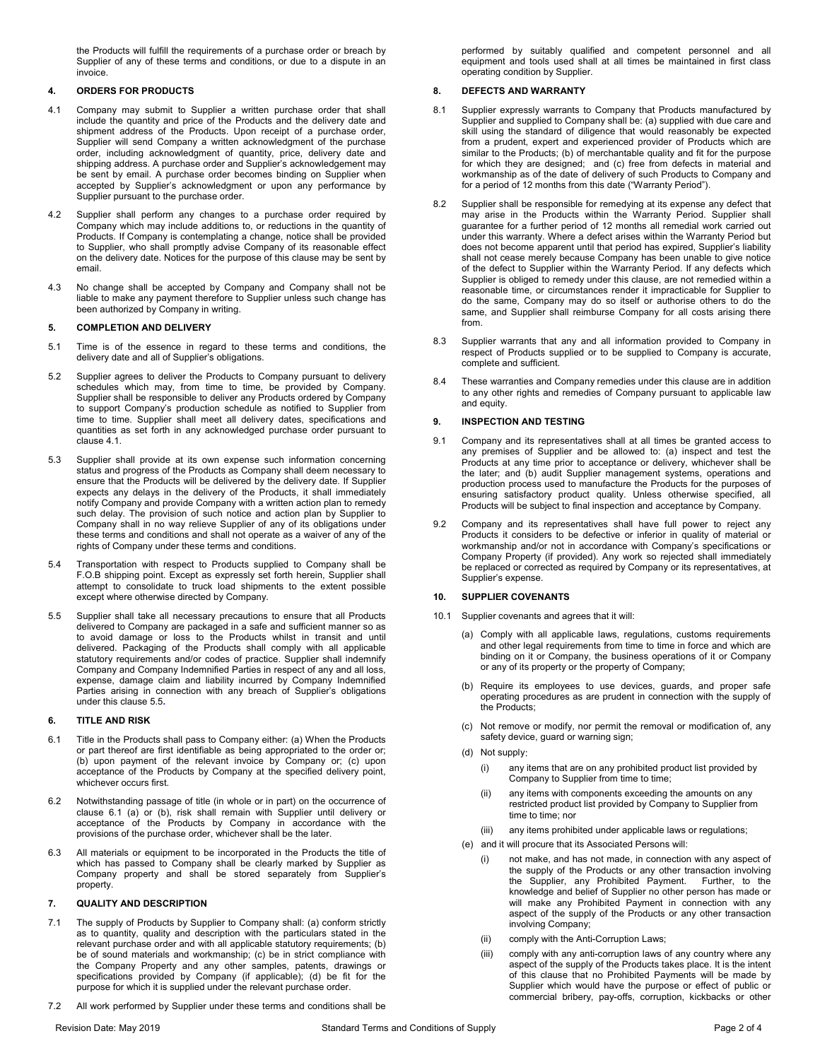the Products will fulfill the requirements of a purchase order or breach by Supplier of any of these terms and conditions, or due to a dispute in an invoice.

# **4. ORDERS FOR PRODUCTS**

- <span id="page-1-0"></span>4.1 Company may submit to Supplier a written purchase order that shall include the quantity and price of the Products and the delivery date and shipment address of the Products. Upon receipt of a purchase order, Supplier will send Company a written acknowledgment of the purchase order, including acknowledgment of quantity, price, delivery date and shipping address. A purchase order and Supplier's acknowledgement may be sent by email. A purchase order becomes binding on Supplier when accepted by Supplier's acknowledgment or upon any performance by Supplier pursuant to the purchase order.
- 4.2 Supplier shall perform any changes to a purchase order required by Company which may include additions to, or reductions in the quantity of Products. If Company is contemplating a change, notice shall be provided to Supplier, who shall promptly advise Company of its reasonable effect on the delivery date. Notices for the purpose of this clause may be sent by email.
- 4.3 No change shall be accepted by Company and Company shall not be liable to make any payment therefore to Supplier unless such change has been authorized by Company in writing.

### **5. COMPLETION AND DELIVERY**

- 5.1 Time is of the essence in regard to these terms and conditions, the delivery date and all of Supplier's obligations.
- 5.2 Supplier agrees to deliver the Products to Company pursuant to delivery schedules which may, from time to time, be provided by Company. Supplier shall be responsible to deliver any Products ordered by Company to support Company's production schedule as notified to Supplier from time to time. Supplier shall meet all delivery dates, specifications and quantities as set forth in any acknowledged purchase order pursuant to claus[e 4.1.](#page-1-0)
- 5.3 Supplier shall provide at its own expense such information concerning status and progress of the Products as Company shall deem necessary to ensure that the Products will be delivered by the delivery date. If Supplier expects any delays in the delivery of the Products, it shall immediately notify Company and provide Company with a written action plan to remedy such delay. The provision of such notice and action plan by Supplier to Company shall in no way relieve Supplier of any of its obligations under these terms and conditions and shall not operate as a waiver of any of the rights of Company under these terms and conditions.
- 5.4 Transportation with respect to Products supplied to Company shall be F.O.B shipping point. Except as expressly set forth herein, Supplier shall attempt to consolidate to truck load shipments to the extent possible except where otherwise directed by Company.
- <span id="page-1-1"></span>5.5 Supplier shall take all necessary precautions to ensure that all Products delivered to Company are packaged in a safe and sufficient manner so as to avoid damage or loss to the Products whilst in transit and until delivered. Packaging of the Products shall comply with all applicable statutory requirements and/or codes of practice. Supplier shall indemnify Company and Company Indemnified Parties in respect of any and all loss, expense, damage claim and liability incurred by Company Indemnified Parties arising in connection with any breach of Supplier's obligations under this claus[e 5.5](#page-1-1)**.**

#### **6. TITLE AND RISK**

- <span id="page-1-2"></span>6.1 Title in the Products shall pass to Company either: (a) When the Products or part thereof are first identifiable as being appropriated to the order or; (b) upon payment of the relevant invoice by Company or; (c) upon acceptance of the Products by Company at the specified delivery point, whichever occurs first.
- 6.2 Notwithstanding passage of title (in whole or in part) on the occurrence of clause [6.1](#page-1-2) (a) or (b), risk shall remain with Supplier until delivery or acceptance of the Products by Company in accordance with the provisions of the purchase order, whichever shall be the later.
- 6.3 All materials or equipment to be incorporated in the Products the title of which has passed to Company shall be clearly marked by Supplier as Company property and shall be stored separately from Supplier's property.

# **7. QUALITY AND DESCRIPTION**

- 7.1 The supply of Products by Supplier to Company shall: (a) conform strictly as to quantity, quality and description with the particulars stated in the relevant purchase order and with all applicable statutory requirements; (b) be of sound materials and workmanship; (c) be in strict compliance with the Company Property and any other samples, patents, drawings or specifications provided by Company (if applicable); (d) be fit for the purpose for which it is supplied under the relevant purchase order.
- 7.2 All work performed by Supplier under these terms and conditions shall be

## **8. DEFECTS AND WARRANTY**

- 8.1 Supplier expressly warrants to Company that Products manufactured by Supplier and supplied to Company shall be: (a) supplied with due care and skill using the standard of diligence that would reasonably be expected from a prudent, expert and experienced provider of Products which are similar to the Products; (b) of merchantable quality and fit for the purpose for which they are designed; and (c) free from defects in material and workmanship as of the date of delivery of such Products to Company and for a period of 12 months from this date ("Warranty Period").
- 8.2 Supplier shall be responsible for remedying at its expense any defect that may arise in the Products within the Warranty Period. Supplier shall guarantee for a further period of 12 months all remedial work carried out under this warranty. Where a defect arises within the Warranty Period but does not become apparent until that period has expired, Supplier's liability shall not cease merely because Company has been unable to give notice of the defect to Supplier within the Warranty Period. If any defects which Supplier is obliged to remedy under this clause, are not remedied within a reasonable time, or circumstances render it impracticable for Supplier to do the same, Company may do so itself or authorise others to do the same, and Supplier shall reimburse Company for all costs arising there from.
- 8.3 Supplier warrants that any and all information provided to Company in respect of Products supplied or to be supplied to Company is accurate, complete and sufficient.
- 8.4 These warranties and Company remedies under this clause are in addition to any other rights and remedies of Company pursuant to applicable law and equity.

### **9. INSPECTION AND TESTING**

- 9.1 Company and its representatives shall at all times be granted access to any premises of Supplier and be allowed to: (a) inspect and test the Products at any time prior to acceptance or delivery, whichever shall be the later; and (b) audit Supplier management systems, operations and production process used to manufacture the Products for the purposes of .<br>ensuring satisfactory product quality. Unless otherwise specified, all Products will be subject to final inspection and acceptance by Company.
- 9.2 Company and its representatives shall have full power to reject any Products it considers to be defective or inferior in quality of material or workmanship and/or not in accordance with Company's specifications or Company Property (if provided). Any work so rejected shall immediately be replaced or corrected as required by Company or its representatives, at Supplier's expense.

### **10. SUPPLIER COVENANTS**

- 10.1 Supplier covenants and agrees that it will:
	- (a) Comply with all applicable laws, regulations, customs requirements and other legal requirements from time to time in force and which are binding on it or Company, the business operations of it or Company or any of its property or the property of Company;
	- (b) Require its employees to use devices, guards, and proper safe operating procedures as are prudent in connection with the supply of the Products;
	- (c) Not remove or modify, nor permit the removal or modification of, any safety device, guard or warning sign;
	- (d) Not supply:
		- (i) any items that are on any prohibited product list provided by Company to Supplier from time to time;
		- (ii) any items with components exceeding the amounts on any restricted product list provided by Company to Supplier from time to time; nor
		- (iii) any items prohibited under applicable laws or regulations;
	- (e) and it will procure that its Associated Persons will:
		- not make, and has not made, in connection with any aspect of the supply of the Products or any other transaction involving the Supplier, any Prohibited Payment. Further, to the knowledge and belief of Supplier no other person has made or will make any Prohibited Payment in connection with any aspect of the supply of the Products or any other transaction involving Company;
		- (ii) comply with the Anti-Corruption Laws;
		- (iii) comply with any anti-corruption laws of any country where any aspect of the supply of the Products takes place. It is the intent of this clause that no Prohibited Payments will be made by Supplier which would have the purpose or effect of public or commercial bribery, pay-offs, corruption, kickbacks or other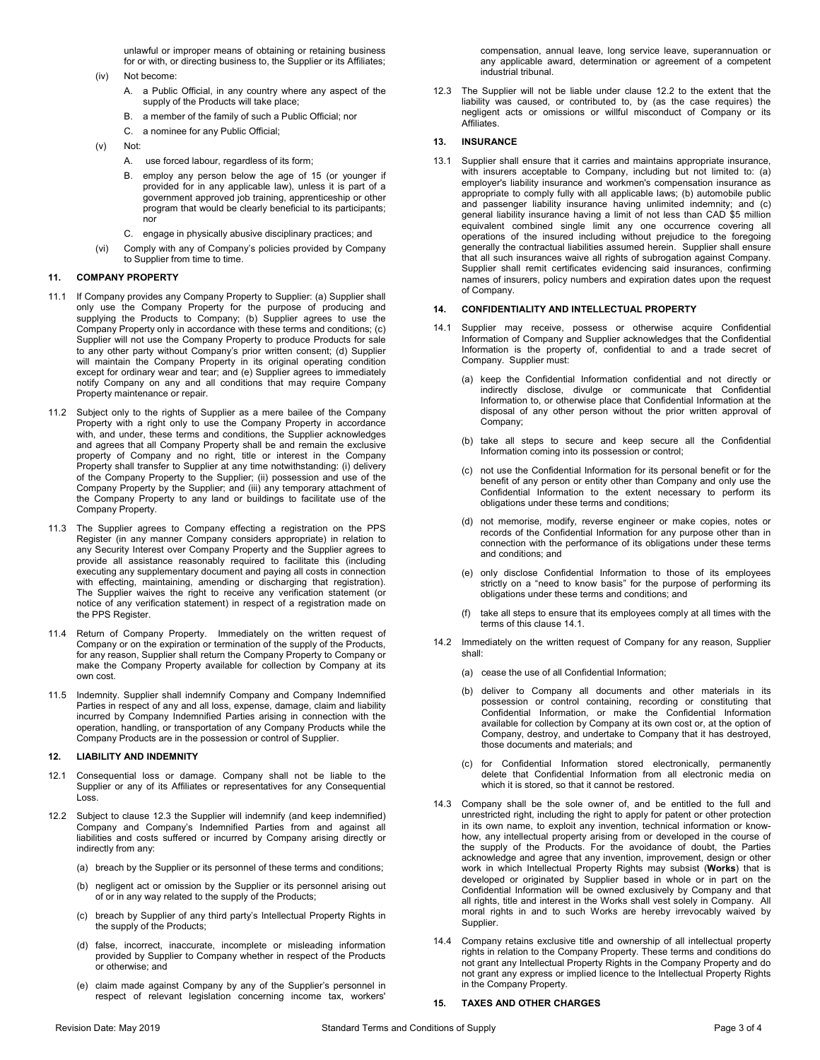unlawful or improper means of obtaining or retaining business for or with, or directing business to, the Supplier or its Affiliates;

(iv) Not become:

- A. a Public Official, in any country where any aspect of the supply of the Products will take place;
- B. a member of the family of such a Public Official; nor
- C. a nominee for any Public Official;

(v) Not:

- A. use forced labour, regardless of its form;
- B. employ any person below the age of 15 (or younger if provided for in any applicable law), unless it is part of a government approved job training, apprenticeship or other program that would be clearly beneficial to its participants; nor
- C. engage in physically abusive disciplinary practices; and
- (vi) Comply with any of Company's policies provided by Company to Supplier from time to time.

# **11. COMPANY PROPERTY**

- 11.1 If Company provides any Company Property to Supplier: (a) Supplier shall only use the Company Property for the purpose of producing and supplying the Products to Company; (b) Supplier agrees to use the Company Property only in accordance with these terms and conditions; (c) Supplier will not use the Company Property to produce Products for sale to any other party without Company's prior written consent; (d) Supplier will maintain the Company Property in its original operating condition except for ordinary wear and tear; and (e) Supplier agrees to immediately notify Company on any and all conditions that may require Company Property maintenance or repair.
- 11.2 Subject only to the rights of Supplier as a mere bailee of the Company Property with a right only to use the Company Property in accordance with, and under, these terms and conditions, the Supplier acknowledges and agrees that all Company Property shall be and remain the exclusive property of Company and no right, title or interest in the Company Property shall transfer to Supplier at any time notwithstanding: (i) delivery of the Company Property to the Supplier; (ii) possession and use of the Company Property by the Supplier; and (iii) any temporary attachment of the Company Property to any land or buildings to facilitate use of the Company Property.
- 11.3 The Supplier agrees to Company effecting a registration on the PPS Register (in any manner Company considers appropriate) in relation to any Security Interest over Company Property and the Supplier agrees to provide all assistance reasonably required to facilitate this (including executing any supplementary document and paying all costs in connection with effecting, maintaining, amending or discharging that registration). The Supplier waives the right to receive any verification statement (or notice of any verification statement) in respect of a registration made on the PPS Register.
- 11.4 Return of Company Property. Immediately on the written request of Company or on the expiration or termination of the supply of the Products, for any reason, Supplier shall return the Company Property to Company or make the Company Property available for collection by Company at its own cost.
- 11.5 Indemnity. Supplier shall indemnify Company and Company Indemnified Parties in respect of any and all loss, expense, damage, claim and liability incurred by Company Indemnified Parties arising in connection with the operation, handling, or transportation of any Company Products while the Company Products are in the possession or control of Supplier.

## **12. LIABILITY AND INDEMNITY**

- 12.1 Consequential loss or damage. Company shall not be liable to the Supplier or any of its Affiliates or representatives for any Consequential Loss.
- <span id="page-2-1"></span>12.2 Subject to clause [12.3](#page-2-0) the Supplier will indemnify (and keep indemnified) Company and Company's Indemnified Parties from and against all liabilities and costs suffered or incurred by Company arising directly or indirectly from any:
	- (a) breach by the Supplier or its personnel of these terms and conditions;
	- (b) negligent act or omission by the Supplier or its personnel arising out of or in any way related to the supply of the Products;
	- (c) breach by Supplier of any third party's Intellectual Property Rights in the supply of the Products;
	- (d) false, incorrect, inaccurate, incomplete or misleading information provided by Supplier to Company whether in respect of the Products or otherwise; and
	- (e) claim made against Company by any of the Supplier's personnel in respect of relevant legislation concerning income tax, workers'

compensation, annual leave, long service leave, superannuation or any applicable award, determination or agreement of a competent industrial tribunal.

<span id="page-2-0"></span>12.3 The Supplier will not be liable under clause [12.2](#page-2-1) to the extent that the liability was caused, or contributed to, by (as the case requires) the negligent acts or omissions or willful misconduct of Company or its Affiliates.

#### **13. INSURANCE**

13.1 Supplier shall ensure that it carries and maintains appropriate insurance, with insurers acceptable to Company, including but not limited to: (a) employer's liability insurance and workmen's compensation insurance as appropriate to comply fully with all applicable laws; (b) automobile public and passenger liability insurance having unlimited indemnity; and (c) general liability insurance having a limit of not less than CAD \$5 million equivalent combined single limit any one occurrence covering all operations of the insured including without prejudice to the foregoing generally the contractual liabilities assumed herein. Supplier shall ensure that all such insurances waive all rights of subrogation against Company. Supplier shall remit certificates evidencing said insurances, confirming names of insurers, policy numbers and expiration dates upon the request of Company.

# **14. CONFIDENTIALITY AND INTELLECTUAL PROPERTY**

- 14.1 Supplier may receive, possess or otherwise acquire Confidential Information of Company and Supplier acknowledges that the Confidential Information is the property of, confidential to and a trade secret of Company. Supplier must:
	- (a) keep the Confidential Information confidential and not directly or indirectly disclose, divulge or communicate that Confidential Information to, or otherwise place that Confidential Information at the disposal of any other person without the prior written approval of Company;
	- (b) take all steps to secure and keep secure all the Confidential Information coming into its possession or control;
	- (c) not use the Confidential Information for its personal benefit or for the benefit of any person or entity other than Company and only use the Confidential Information to the extent necessary to perform its obligations under these terms and conditions;
	- (d) not memorise, modify, reverse engineer or make copies, notes or records of the Confidential Information for any purpose other than in connection with the performance of its obligations under these terms and conditions; and
	- (e) only disclose Confidential Information to those of its employees strictly on a "need to know basis" for the purpose of performing its obligations under these terms and conditions; and
	- (f) take all steps to ensure that its employees comply at all times with the terms of this clause 14.1.
- 14.2 Immediately on the written request of Company for any reason, Supplier shall:
	- (a) cease the use of all Confidential Information;
	- (b) deliver to Company all documents and other materials in its possession or control containing, recording or constituting that Confidential Information, or make the Confidential Information available for collection by Company at its own cost or, at the option of Company, destroy, and undertake to Company that it has destroyed, those documents and materials; and
	- (c) for Confidential Information stored electronically, permanently delete that Confidential Information from all electronic media on which it is stored, so that it cannot be restored.
- 14.3 Company shall be the sole owner of, and be entitled to the full and unrestricted right, including the right to apply for patent or other protection in its own name, to exploit any invention, technical information or knowhow, any intellectual property arising from or developed in the course of the supply of the Products. For the avoidance of doubt, the Parties acknowledge and agree that any invention, improvement, design or other work in which Intellectual Property Rights may subsist (**Works**) that is developed or originated by Supplier based in whole or in part on the Confidential Information will be owned exclusively by Company and that all rights, title and interest in the Works shall vest solely in Company. All moral rights in and to such Works are hereby irrevocably waived by Supplier.
- 14.4 Company retains exclusive title and ownership of all intellectual property rights in relation to the Company Property. These terms and conditions do not grant any Intellectual Property Rights in the Company Property and do not grant any express or implied licence to the Intellectual Property Rights in the Company Property.

#### **15. TAXES AND OTHER CHARGES**